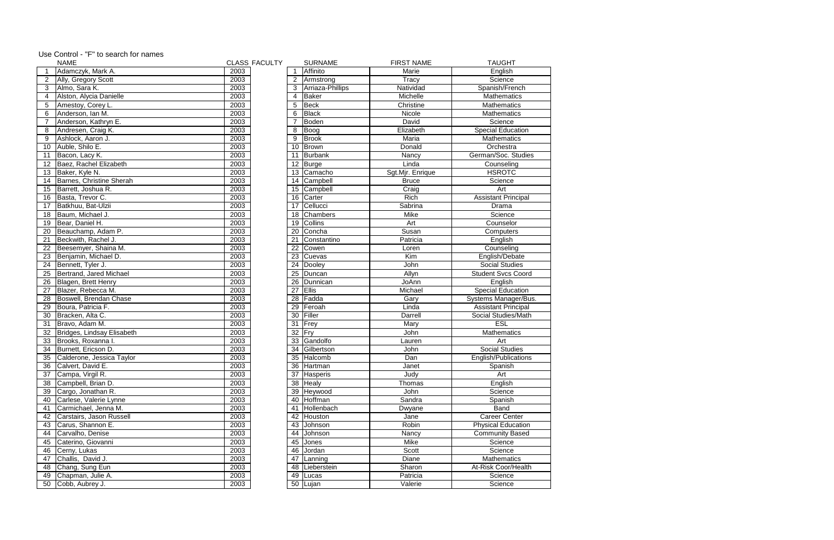Use Control - "F" to search for names

|                 | <b>NAME</b>                     |      | <b>CLASS FACULTY</b> |                 | <b>SURNAME</b>   | <b>FIRST NAME</b> | <b>TAUGHT</b>              |
|-----------------|---------------------------------|------|----------------------|-----------------|------------------|-------------------|----------------------------|
|                 | Adamczyk, Mark A.               | 2003 |                      |                 | Affinito         | Marie             | English                    |
| $\overline{2}$  | Ally, Gregory Scott             | 2003 |                      | $\overline{2}$  | Armstrong        | Tracy             | Science                    |
| 3               | Almo, Sara K.                   | 2003 |                      | 3               | Arriaza-Phillips | Natividad         | Spanish/French             |
| 4               | Alston, Alycia Danielle         | 2003 |                      | 4               | <b>Baker</b>     | Michelle          | <b>Mathematics</b>         |
| 5               | Amestoy, Corey L.               | 2003 |                      | 5               | <b>Beck</b>      | Christine         | Mathematics                |
| 6               | Anderson, Ian M.                | 2003 |                      | 6               | Black            | Nicole            | Mathematics                |
| $\overline{7}$  | Anderson, Kathryn E.            | 2003 |                      |                 | Boden            | David             | Science                    |
| 8               | Andresen, Craig K.              | 2003 |                      | 8               | Boog             | Elizabeth         | <b>Special Education</b>   |
| 9               | Ashlock, Aaron J.               | 2003 |                      | 9               | <b>Brook</b>     | Maria             | Mathematics                |
| 10 <sup>°</sup> | Auble, Shilo E.                 | 2003 |                      | 10              | Brown            | Donald            | Orchestra                  |
| 11              | Bacon, Lacy K.                  | 2003 |                      | 11              | <b>Burbank</b>   | Nancy             | German/Soc. Studies        |
| 12 <sup>°</sup> | Baez, Rachel Elizabeth          | 2003 |                      | 12              | Burge            | Linda             | Counseling                 |
| 13              | Baker, Kyle N.                  | 2003 |                      | 13 <sup>°</sup> | Camacho          | Sgt.Mjr. Enrique  | <b>HSROTC</b>              |
| 14              | <b>Barnes, Christine Sherah</b> | 2003 |                      | 14              | Campbell         | <b>Bruce</b>      | Science                    |
| 15              | Barrett, Joshua R.              | 2003 |                      | 15              | Campbell         | Craig             | Art                        |
| 16              | Basta, Trevor C.                | 2003 |                      | 16              | Carter           | Rich              | <b>Assistant Principal</b> |
| 17              | Batkhuu, Bat-Ulzii              | 2003 |                      | 17              | Cellucci         | Sabrina           | Drama                      |
| 18              | Baum, Michael J.                | 2003 |                      | 18              | Chambers         | Mike              | Science                    |
| 19              | Bear, Daniel H.                 | 2003 |                      | 19              | Collins          | Art               | Counselor                  |
| 20              | Beauchamp, Adam P.              | 2003 |                      | 20              | Concha           | Susan             | Computers                  |
| 21              | Beckwith, Rachel J.             | 2003 |                      | 21              | Constantino      | Patricia          | English                    |
| 22              | Beesemyer, Shaina M.            | 2003 |                      | 22              | Cowen            | Loren             | Counseling                 |
| 23              | Benjamin, Michael D.            | 2003 |                      | 23              | Cuevas           | Kim               | English/Debate             |
| 24              | Bennett, Tyler J.               | 2003 |                      | 24              | Dooley           | John              | <b>Social Studies</b>      |
| 25              | Bertrand, Jared Michael         | 2003 |                      | 25              | Duncan           | Allyn             | <b>Student Svcs Coord</b>  |
|                 | 26 Blagen, Brett Henry          | 2003 |                      | 26              | Dunnican         | JoAnn             | English                    |
| 27              | Blazer, Rebecca M.              | 2003 |                      | 27              | Ellis            | Michael           | <b>Special Education</b>   |
| 28              | Boswell, Brendan Chase          | 2003 |                      | 28              | Fadda            | Gary              | Systems Manager/Bus.       |
| 29              | Boura, Patricia F.              | 2003 |                      | 29              | Feroah           | Linda             | <b>Assistant Principal</b> |
|                 | 30 Bracken, Alta C.             | 2003 |                      | 30              | Filler           | Darrell           | Social Studies/Math        |
| 31              | Bravo, Adam M.                  | 2003 |                      | 31              | <b>T</b> Frey    | Mary              | <b>ESL</b>                 |
|                 | 32 Bridges, Lindsay Elisabeth   | 2003 |                      | 32              | Fry              | John              | Mathematics                |
|                 | 33 Brooks, Roxanna I.           | 2003 |                      | 33              | Gandolfo         | Lauren            | Art                        |
|                 | 34 Burnett, Ericson D.          | 2003 |                      | 34              | Gilbertson       | John              | <b>Social Studies</b>      |
|                 | 35 Calderone, Jessica Taylor    | 2003 |                      |                 | 35 Halcomb       | Dan               | English/Publications       |
|                 | 36 Calvert, David E.            | 2003 |                      |                 | 36 Hartman       | Janet             | Spanish                    |
|                 | 37 Campa, Virgil R.             | 2003 |                      |                 | 37 Hasperis      | Judy              | Art                        |
|                 | 38 Campbell, Brian D.           | 2003 |                      |                 | 38 Healy         | Thomas            | English                    |
|                 | 39 Cargo, Jonathan R.           | 2003 |                      |                 | 39 Heywood       | John              | Science                    |
|                 | 40 Carlese, Valerie Lynne       | 2003 |                      |                 | 40 Hoffman       | Sandra            | Spanish                    |
|                 | 41 Carmichael, Jenna M.         | 2003 |                      |                 | 41 Hollenbach    | Dwyane            | Band                       |
|                 | 42 Carstairs, Jason Russell     | 2003 |                      |                 | 42 Houston       | Jane              | <b>Career Center</b>       |
|                 | 43 Carus, Shannon E.            | 2003 |                      | 43              | Johnson          | Robin             | <b>Physical Education</b>  |
|                 | 44 Carvalho, Denise             | 2003 |                      | 44              | Johnson          | Nancy             | <b>Community Based</b>     |
|                 | 45 Caterino, Giovanni           | 2003 |                      | 45              | Jones            | Mike              | Science                    |
|                 | 46 Cerny, Lukas                 | 2003 |                      | 46              | Jordan           | Scott             | Science                    |
|                 | 47 Challis, David J.            | 2003 |                      | 47              | Lanning          | Diane             | <b>Mathematics</b>         |
|                 | 48 Chang, Sung Eun              | 2003 |                      |                 | 48 Lieberstein   | Sharon            | At-Risk Coor/Health        |
|                 | 49 Chapman, Julie A.            | 2003 |                      |                 | 49 Lucas         | Patricia          | Science                    |
|                 | 50 Cobb, Aubrey J.              | 2003 |                      |                 | 50 Lujan         | Valerie           | Science                    |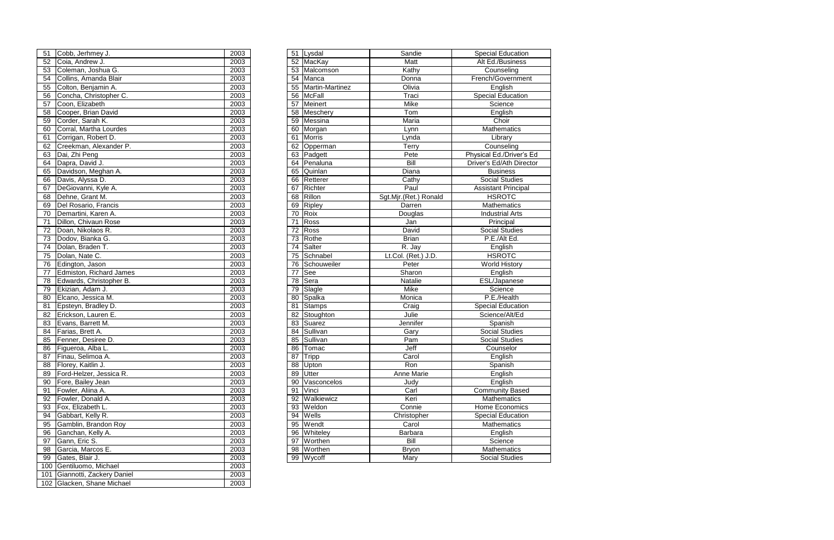|                        | 51 Cobb, Jerhmey J.            | 2003 |    |    | 51 Lysdal             | Sandie                | <b>Special Education</b>   |
|------------------------|--------------------------------|------|----|----|-----------------------|-----------------------|----------------------------|
| 52                     | Coia, Andrew J.                | 2003 |    |    | 52 MacKay             | Matt                  | Alt Ed./Business           |
| 53                     | Coleman, Joshua G.             | 2003 |    |    | 53 Malcomson          | Kathy                 | Counseling                 |
| $\overline{54}$        | Collins, Amanda Blair          | 2003 |    |    | 54 Manca              | Donna                 | French/Government          |
| 55                     | Colton, Benjamin A.            | 2003 |    |    | 55 Martin-Martinez    | Olivia                | English                    |
| 56                     | Concha, Christopher C.         | 2003 |    |    | 56 McFall             | Traci                 | <b>Special Education</b>   |
| 57                     | Coon, Elizabeth                | 2003 |    |    | 57 Meinert            | Mike                  | Science                    |
| $\overline{58}$        | Cooper, Brian David            | 2003 |    |    | 58 Meschery           | Tom                   | English                    |
| 59                     | Corder, Sarah K.               | 2003 |    |    | 59 Messina            | Maria                 | Choir                      |
| 60                     | Corral, Martha Lourdes         | 2003 |    |    | 60 Morgan             | Lynn                  | Mathematics                |
| 61                     | Corrigan, Robert D.            | 2003 | 61 |    | Morris                | Lynda                 | Library                    |
| 62                     | Creekman, Alexander P.         | 2003 | 62 |    | Opperman              | Terry                 | Counseling                 |
| 63                     | Dai, Zhi Peng                  | 2003 |    |    | 63 Padgett            | Pete                  | Physical Ed./Driver's Ed   |
| 64                     | Dapra, David J.                | 2003 | 64 |    | Penaluna              | Bill                  | Driver's Ed/Ath Director   |
| 65                     | Davidson, Meghan A.            | 2003 | 65 |    | Quinlan               | Diana                 | <b>Business</b>            |
| 66                     | Davis, Alyssa D.               | 2003 | 66 |    | Retterer              | Cathy                 | <b>Social Studies</b>      |
| 67                     | DeGiovanni, Kyle A.            | 2003 | 67 |    | Richter               | Paul                  | <b>Assistant Principal</b> |
| 68                     | Dehne, Grant M.                | 2003 |    |    | 68 Rillon             | Sgt.Mjr.(Ret.) Ronald | <b>HSROTC</b>              |
| 69                     | Del Rosario, Francis           | 2003 | 69 |    | Ripley                | Darren                | Mathematics                |
| 70                     | Demartini, Karen A.            | 2003 | 70 |    | Roix                  | Douglas               | <b>Industrial Arts</b>     |
| 71                     | Dillon, Chivaun Rose           | 2003 | 71 |    | Ross                  | Jan                   | Principal                  |
| 72                     | Doan, Nikolaos R.              | 2003 | 72 |    | Ross                  | David                 | <b>Social Studies</b>      |
| 73                     | Dodov, Bianka G.               | 2003 | 73 |    | Rothe                 | <b>Brian</b>          | P.E./Alt Ed.               |
| 74                     | Dolan, Braden T.               | 2003 | 74 |    | Salter                | R. Jay                | English                    |
| 75                     | Dolan, Nate C.                 | 2003 |    |    | 75 Schnabel           | Lt.Col. (Ret.) J.D.   | <b>HSROTC</b>              |
| 76                     | Edington, Jason                | 2003 | 76 |    | Schouweiler           | Peter                 | <b>World History</b>       |
| 77                     | <b>Edmiston, Richard James</b> | 2003 | 77 |    | See                   | Sharon                | English                    |
| 78                     | Edwards, Christopher B.        | 2003 | 78 |    | Sera                  | Natalie               | ESL/Japanese               |
| 79                     | Ekizian, Adam J.               | 2003 | 79 |    | Slagle                | <b>Mike</b>           | Science                    |
| 80                     | Elcano, Jessica M.             | 2003 | 80 |    | Spalka                | Monica                | P.E./Health                |
| 81                     | Epsteyn, Bradley D.            | 2003 | 81 |    | <b>Stamps</b>         | Craig                 | <b>Special Education</b>   |
| 82                     | Erickson, Lauren E.            | 2003 | 82 |    | Stoughton             | Julie                 | Science/Alt/Ed             |
| $\overline{\text{83}}$ | Evans, Barrett M.              | 2003 | 83 |    | Suarez                | Jennifer              | Spanish                    |
| 84                     | Farias, Brett A.               | 2003 |    | 84 | Sullivan              | Gary                  | <b>Social Studies</b>      |
| 85                     | Fenner, Desiree D.             | 2003 | 85 |    | Sullivan              | Pam                   | <b>Social Studies</b>      |
|                        | 86 Figueroa, Alba L.           | 2003 |    |    | 86 Tomac              | Jeff                  | Counselor                  |
|                        | 87 Finau, Selimoa A.           | 2003 |    |    | 87 Tripp              | Carol                 | English                    |
| 88                     | Florey, Kaitlin J.             | 2003 |    |    | $\overline{88}$ Upton | Ron                   | Spanish                    |
| 89                     | Ford-Helzer, Jessica R.        | 2003 |    |    | 89 Utter              | Anne Marie            | English                    |
| 90                     | Fore, Bailey Jean              | 2003 | 90 |    | Vasconcelos           | Judy                  | English                    |
| 91                     | Fowler, Aliina A.              | 2003 |    |    | 91 Vinci              | Carl                  | <b>Community Based</b>     |
| 92                     | Fowler, Donald A.              | 2003 |    |    | 92 Walkiewicz         | Keri                  | <b>Mathematics</b>         |
| 93                     | Fox, Elizabeth L.              | 2003 |    |    | 93 Weldon             | Connie                | Home Economics             |
| 94                     | Gabbart, Kelly R.              | 2003 |    |    | 94 Wells              | Christopher           | <b>Special Education</b>   |
| 95                     | Gamblin, Brandon Roy           | 2003 |    |    | 95 Wendt              | Carol                 | Mathematics                |
| 96                     | Ganchan, Kelly A.              | 2003 |    |    | 96 Whiteley           | Barbara               | English                    |
| 97                     | Gann, Eric S.                  | 2003 | 97 |    | Worthen               | Bill                  | Science                    |
| 98                     | Garcia, Marcos E.              | 2003 | 98 |    | Worthen               | <b>Bryon</b>          | Mathematics                |
| 99                     | Gates, Blair J.                | 2003 |    |    | 99 Wycoff             | Mary                  | <b>Social Studies</b>      |
|                        |                                |      |    |    |                       |                       |                            |

| 51  | Cobb, Jerhmey J.          | 2003 |
|-----|---------------------------|------|
| 52  | Coia, Andrew J.           | 2003 |
| 53  | Coleman, Joshua G.        | 2003 |
| 54  | Collins, Amanda Blair     | 2003 |
| 55  | Colton, Benjamin A.       | 2003 |
| 56  | Concha, Christopher C.    | 2003 |
| 57  | Coon, Elizabeth           | 2003 |
| 58  | Cooper, Brian David       | 2003 |
| 59  | Corder, Sarah K.          | 2003 |
| 60  | Corral, Martha Lourdes    | 2003 |
| 61  | Corrigan, Robert D.       | 2003 |
| 62  | Creekman, Alexander P.    | 2003 |
| 63  | Dai, Zhi Peng             | 2003 |
| 64  | Dapra, David J.           | 2003 |
| 65  | Davidson, Meghan A.       | 2003 |
| 66  | Davis, Alyssa D.          | 2003 |
| 67  | DeGiovanni, Kyle A.       | 2003 |
| 68  | Dehne, Grant M.           | 2003 |
| 69  | Del Rosario, Francis      | 2003 |
| 70  | Demartini, Karen A.       | 2003 |
| 71  | Dillon, Chivaun Rose      | 2003 |
| 72  | Doan, Nikolaos R.         | 2003 |
| 73  | Dodov, Bianka G.          | 2003 |
| 74  | Dolan, Braden T.          | 2003 |
| 75  | Dolan, Nate C.            | 2003 |
| 76  | Edington, Jason           | 2003 |
| 77  | Edmiston, Richard James   | 2003 |
| 78  | Edwards, Christopher B.   | 2003 |
| 79  | Ekizian, Adam J.          | 2003 |
| 80  | Elcano, Jessica M.        | 2003 |
| 81  | Epsteyn, Bradley D.       | 2003 |
| 82  | Erickson, Lauren E.       | 2003 |
| 83  | Evans, Barrett M.         | 2003 |
| 84  | Farias, Brett A.          | 2003 |
| 85  | Fenner, Desiree D.        | 2003 |
| 86  | Figueroa, Alba L.         | 2003 |
| 87  | Finau, Selimoa A.         | 2003 |
| 88  | Florey, Kaitlin J.        | 2003 |
| 89  | Ford-Helzer, Jessica R.   | 2003 |
| 90  | Fore, Bailey Jean         | 2003 |
| 91  | Fowler, Aliina A.         | 2003 |
| 92  | Fowler, Donald A.         | 2003 |
| 93  | Fox, Elizabeth L.         | 2003 |
| 94  | Gabbart, Kelly R.         | 2003 |
| 95  | Gamblin, Brandon Roy      | 2003 |
| 96  | Ganchan, Kelly A.         | 2003 |
| 97  | Gann, Eric S.             | 2003 |
| 98  | Garcia, Marcos E.         | 2003 |
| 99  | Gates, Blair J.           | 2003 |
| 100 | Gentiluomo, Michael       | 2003 |
| 101 | Giannotti, Zackery Daniel | 2003 |
| 102 | Glacken, Shane Michael    | 2003 |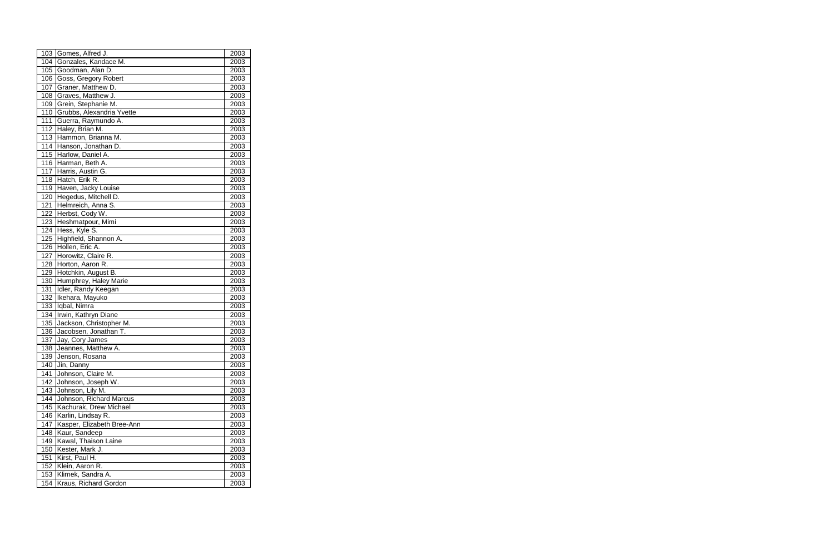| 103               | Gomes, Alfred J.           | 2003             |
|-------------------|----------------------------|------------------|
| 104               | Gonzales, Kandace M.       | 2003             |
| 105               | Goodman, Alan D.           | 2003             |
| 106               | Goss, Gregory Robert       | 2003             |
| 107               | Graner, Matthew D.         | 2003             |
| 108               | Graves, Matthew J.         | 2003             |
| 109               | Grein, Stephanie M.        | 2003             |
| 110               | Grubbs, Alexandria Yvette  | $\frac{1}{2003}$ |
| 111               | Guerra, Raymundo A.        | 2003             |
|                   | 112 Haley, Brian M.        | 2003             |
| $\overline{1}$ 13 | Hammon, Brianna M.         | 2003             |
| 114               | Hanson, Jonathan D.        | 2003             |
| 115               | Harlow, Daniel A.          | 2003             |
| 116               | Harman, Beth A.            | 2003             |
| 117               | Harris, Austin G.          | 2003             |
| 118               | Hatch, Erik R.             | 2003             |
| 119               | Haven, Jacky Louise        | 2003             |
| 120               | Hegedus, Mitchell D.       | 2003             |
| 121               | Helmreich, Anna S.         | 2003             |
| 122               | Herbst, Cody W.            | 2003             |
| 123               | Heshmatpour, Mimi          | 2003             |
| 124               | Hess, Kyle S.              | 2003             |
| 125               | Highfield, Shannon A.      | 2003             |
|                   | 126 Hollen, Eric A.        | 2003             |
| 127               | Horowitz, Claire R.        | 2003             |
| 128               | Horton, Aaron R.           | 2003             |
| 129               | Hotchkin, August B.        | 2003             |
| 130               | Humphrey, Haley Marie      | 2003             |
| 131               | Idler, Randy Keegan        | 2003             |
| 132               | Ikehara, Mayuko            | 2003             |
| 133               | Iqbal, Nimra               | 2003             |
| 134               | Irwin, Kathryn Diane       | 2003             |
| 135               | Jackson, Christopher M.    | 2003             |
| 136               | Jacobsen, Jonathan T.      | 2003             |
| 137               | Jay, Cory James            | 2003             |
| 138               | Jeannes, Matthew A.        | 2003             |
| 139.              | Jenson, Rosana             | 2003             |
| 140               | Jin, Danny                 | 2003             |
| 141               | Johnson, Claire M.         | 2003             |
| 142               | Johnson, Joseph W.         | 2003             |
| 143               | Johnson, Lily M.           | 2003             |
| 144               | Johnson, Richard Marcus    | 2003             |
| 145               | Kachurak, Drew Michael     | 2003             |
| 146               | Karlin, Lindsay R.         | 2003             |
| 147               | Kasper, Elizabeth Bree-Ann | 2003             |
| 148               | Kaur, Sandeep              | 2003             |
| 149               | Kawal, Thaison Laine       | 2003             |
| 150               | Kester, Mark J.            | 2003             |
| 151               | Kirst, Paul H.             | 2003             |
| 152               | Klein, Aaron R.            | 2003             |
| 153               | Klimek, Sandra A.          | 2003             |
| 154               | Kraus, Richard Gordon      | 2003             |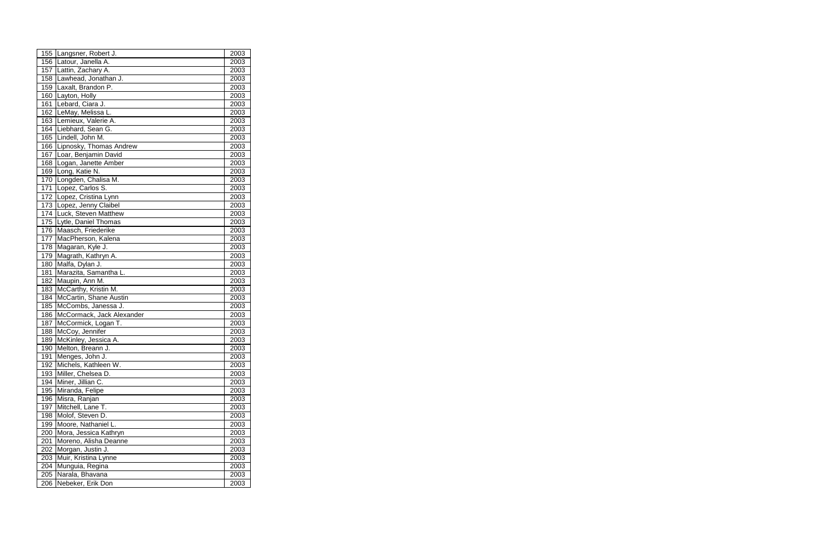|     | 155 Langsner, Robert J.     | 2003             |
|-----|-----------------------------|------------------|
|     | 156 Latour, Janella A.      | 2003             |
|     | 157 Lattin, Zachary A.      | 2003             |
| 158 | Lawhead, Jonathan J.        | 2003             |
| 159 | Laxalt, Brandon P.          | 2003             |
| 160 | Layton, Holly               | 2003             |
| 161 | Lebard, Ciara J.            | 2003             |
| 162 | LeMay, Melissa L.           | $\frac{1}{2003}$ |
|     | 163 Lemieux, Valerie A.     | 2003             |
|     | 164 Liebhard, Sean G.       | 2003             |
|     | 165 Lindell, John M.        | 2003             |
|     | 166 Lipnosky, Thomas Andrew | 2003             |
| 167 | Loar, Benjamin David        | 2003             |
| 168 | Logan, Janette Amber        | 2003             |
| 169 | Long, Katie N.              | 2003             |
| 170 | Longden, Chalisa M.         | 2003             |
| 171 | Lopez, Carlos S.            | 2003             |
|     | 172 Lopez, Cristina Lynn    | 2003             |
|     | 173 Lopez, Jenny Claibel    | 2003             |
| 174 | Luck, Steven Matthew        | 2003             |
| 175 | Lytle, Daniel Thomas        | 2003             |
| 176 | Maasch, Friederike          | 2003             |
| 177 | MacPherson, Kalena          | 2003             |
| 178 | Magaran, Kyle J.            | 2003             |
| 179 | Magrath, Kathryn A.         | 2003             |
| 180 | Malfa, Dylan J.             | 2003             |
| 181 | Marazita, Samantha L.       | 2003             |
| 182 | Maupin, Ann M.              | 2003             |
| 183 | McCarthy, Kristin M.        | 2003             |
| 184 | McCartin, Shane Austin      | 2003             |
| 185 | McCombs, Janessa J.         | 2003             |
| 186 | McCormack, Jack Alexander   | 2003             |
| 187 | McCormick, Logan T.         | 2003             |
| 188 | McCoy, Jennifer             | 2003             |
| 189 | McKinley, Jessica A.        | 2003             |
| 190 | Melton, Breann J.           | 2003             |
| 191 | Menges, John J.             | 2003             |
| 192 | Michels, Kathleen W.        | 2003             |
| 193 | Miller, Chelsea D.          | 2003             |
| 194 | Miner, Jillian C.           | 2003             |
| 195 | Miranda, Felipe             | 2003             |
|     | 196 Misra, Ranjan           | 2003             |
| 197 | Mitchell, Lane T.           | 2003             |
| 198 | Molof, Steven D.            | 2003             |
| 199 | Moore, Nathaniel L.         | 2003             |
| 200 | Mora, Jessica Kathryn       | 2003             |
| 201 | Moreno, Alisha Deanne       | 2003             |
| 202 | Morgan, Justin J.           | 2003             |
| 203 | Muir, Kristina Lynne        | 2003             |
| 204 | Munguia, Regina             | 2003             |
| 205 | Narala, Bhavana             | 2003             |
| 206 | Nebeker, Erik Don           | 2003             |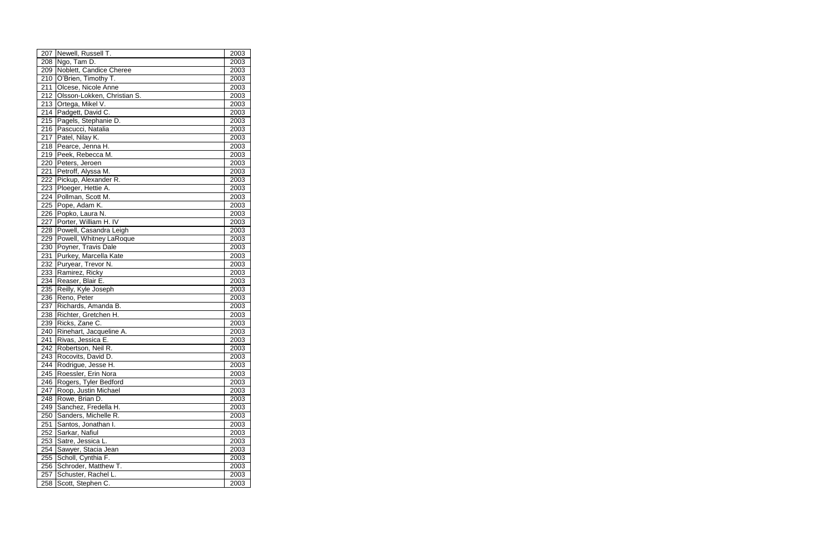| 207              | Newell, Russell T.                    | 2003             |
|------------------|---------------------------------------|------------------|
| 208              | Ngo, Tam D.                           | 2003             |
| 209              | Noblett, Candice Cheree               | 2003             |
| 210              | O'Brien, Timothy T.                   | 2003             |
| $\overline{211}$ | Olcese, Nicole Anne                   | 2003             |
| 212              | Olsson-Lokken, Christian S.           | 2003             |
| 213              | Ortega, Mikel V.                      | 2003             |
| $\overline{214}$ | Padgett, David C.                     | $\frac{1}{2003}$ |
| $\overline{215}$ | Pagels, Stephanie D.                  | 2003             |
| 216              | Pascucci, Natalia                     | 2003             |
| $\overline{217}$ | Patel, Nilay K.                       | 2003             |
| $\overline{218}$ | Pearce, Jenna H.                      | 2003             |
| $\overline{219}$ | Peek, Rebecca M.                      | 2003             |
| 220              | Peters, Jeroen                        | 2003             |
| 221              | Petroff, Alyssa M.                    | 2003             |
| 222              | Pickup, Alexander R.                  | 2003             |
| 223              | Ploeger, Hettie A.                    | 2003             |
| 224              | Pollman, Scott M.                     | 2003             |
| 225              | Pope, Adam K.                         | 2003             |
| 226              | Popko, Laura N.                       | 2003             |
| 227              | Porter, William H. IV                 | 2003             |
| 228              | Powell, Casandra Leigh                | 2003             |
| 229              | Powell, Whitney LaRoque               | 2003             |
| 230              | Poyner, Travis Dale                   | 2003             |
| 231              | Purkey, Marcella Kate                 | 2003             |
| 232              | Puryear, Trevor N.                    | 2003             |
| 233              | Ramirez, Ricky                        | 2003             |
| 234              | Reaser, Blair E.                      | 2003             |
| 235              | Reilly, Kyle Joseph                   | 2003             |
| 236              | Reno, Peter                           | 2003             |
| 237              | Richards, Amanda B.                   | 2003             |
| 238              | Richter, Gretchen H.                  | 2003             |
| 239              | Ricks, Zane C.                        | 2003             |
| 240              | Rinehart, Jacqueline A.               | 2003             |
| $\overline{241}$ | Rivas, Jessica E.                     | 2003             |
| 242              | Robertson, Neil R.                    | 2003             |
| $\overline{243}$ | Rocovits, David D.                    | 2003             |
| 244              | Rodrigue, Jesse H.                    | 2003             |
| 245              | Roessler, Erin Nora                   | 2003             |
| 246              | Rogers, Tyler Bedford                 | 2003             |
| 247              | Roop, Justin Michael                  | 2003             |
| 248              | Rowe, Brian D.                        | 2003             |
| 249              | Sanchez, Fredella H.                  | 2003             |
| 250              | Sanders, Michelle R.                  | 2003             |
| 251              |                                       |                  |
| 252              | Santos, Jonathan I.<br>Sarkar, Nafiul | 2003             |
|                  |                                       | 2003             |
| 253              | Satre, Jessica L.                     | 2003             |
| 254              | Sawyer, Stacia Jean                   | 2003             |
| 255              | Scholl, Cynthia F.                    | 2003             |
| 256              | Schroder, Matthew T.                  | 2003             |
| 257              | Schuster, Rachel L.                   | 2003             |
| 258              | Scott, Stephen C.                     | 2003             |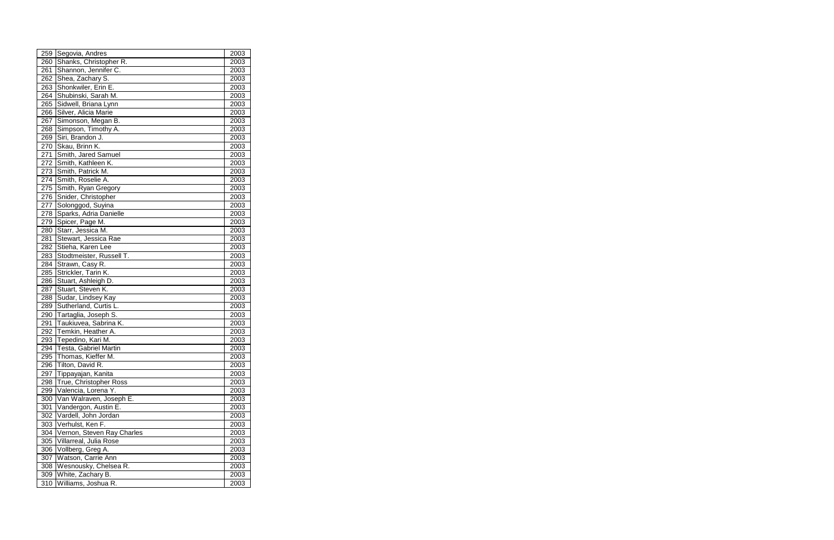| 259<br>Segovia, Andres<br>2003<br>Shanks, Christopher R.<br>260<br>2003<br>Shannon, Jennifer C.<br>261<br>2003<br>262<br>Shea, Zachary S.<br>2003<br>Shonkwiler, Erin E.<br>263<br>2003<br>264<br>Shubinski, Sarah M.<br>2003<br>265<br>Sidwell, Briana Lynn<br>2003<br>266<br>Silver, Alicia Marie<br>2003<br>267<br>Simonson, Megan B.<br>2003<br>268<br>Simpson, Timothy A.<br>2003<br>269<br>Siri, Brandon J.<br>2003<br>270<br>Skau, Brinn K.<br>2003<br>271<br>Smith, Jared Samuel<br>2003<br>272<br>Smith, Kathleen K.<br>2003<br>$\overline{273}$<br>Smith, Patrick M.<br>2003<br>Smith, Roselie A.<br>274<br>2003<br>275<br>Smith, Ryan Gregory<br>2003<br>276<br>Snider, Christopher<br>2003<br>$\overline{277}$<br>Solonggod, Suyina<br>2003<br>278<br>Sparks, Adria Danielle<br>2003<br>279<br>Spicer, Page M.<br>2003<br>Starr, Jessica M.<br>280<br>2003<br>281<br>Stewart, Jessica Rae<br>2003<br>282<br>Stieha, Karen Lee<br>2003<br>283<br>Stodtmeister, Russell T.<br>2003<br>284<br>Strawn, Casy R.<br>2003<br>285<br>Strickler, Tarin K.<br>2003<br>286<br>Stuart, Ashleigh D.<br>2003<br>287<br>Stuart, Steven K.<br>2003<br>288<br>Sudar, Lindsey Kay<br>2003<br>289<br>Sutherland, Curtis L.<br>2003<br>Tartaglia, Joseph S.<br>290<br>2003<br>Taukiuvea, Sabrina K.<br>291<br>2003<br>Temkin, Heather A.<br>292<br>2003<br>Tepedino, Kari M.<br>293<br>2003<br>294 Testa, Gabriel Martin<br>2003<br>295<br>Thomas, Kieffer M.<br>2003<br>296<br>Tilton, David R.<br>2003<br>297<br>Tippayajan, Kanita<br>2003<br>True, Christopher Ross<br>298<br>2003<br>Valencia, Lorena Y.<br>299<br>2003<br>300<br>Van Walraven, Joseph E.<br>2003<br>Vandergon, Austin E.<br>301<br>2003<br>302<br>Vardell, John Jordan<br>2003<br>303 Verhulst, Ken F.<br>2003<br>304 Vernon, Steven Ray Charles<br>2003<br>Villarreal, Julia Rose<br>305<br>2003<br>306<br>Vollberg, Greg A.<br>2003<br>Watson, Carrie Ann<br>307<br>2003<br>308<br>Wesnousky, Chelsea R.<br>2003<br>White, Zachary B.<br>309<br>2003<br>310<br>Williams, Joshua R.<br>2003 |  |  |
|------------------------------------------------------------------------------------------------------------------------------------------------------------------------------------------------------------------------------------------------------------------------------------------------------------------------------------------------------------------------------------------------------------------------------------------------------------------------------------------------------------------------------------------------------------------------------------------------------------------------------------------------------------------------------------------------------------------------------------------------------------------------------------------------------------------------------------------------------------------------------------------------------------------------------------------------------------------------------------------------------------------------------------------------------------------------------------------------------------------------------------------------------------------------------------------------------------------------------------------------------------------------------------------------------------------------------------------------------------------------------------------------------------------------------------------------------------------------------------------------------------------------------------------------------------------------------------------------------------------------------------------------------------------------------------------------------------------------------------------------------------------------------------------------------------------------------------------------------------------------------------------------------------------------------------------------------------------------------------------------------------------------------------------------------------|--|--|
|                                                                                                                                                                                                                                                                                                                                                                                                                                                                                                                                                                                                                                                                                                                                                                                                                                                                                                                                                                                                                                                                                                                                                                                                                                                                                                                                                                                                                                                                                                                                                                                                                                                                                                                                                                                                                                                                                                                                                                                                                                                            |  |  |
|                                                                                                                                                                                                                                                                                                                                                                                                                                                                                                                                                                                                                                                                                                                                                                                                                                                                                                                                                                                                                                                                                                                                                                                                                                                                                                                                                                                                                                                                                                                                                                                                                                                                                                                                                                                                                                                                                                                                                                                                                                                            |  |  |
|                                                                                                                                                                                                                                                                                                                                                                                                                                                                                                                                                                                                                                                                                                                                                                                                                                                                                                                                                                                                                                                                                                                                                                                                                                                                                                                                                                                                                                                                                                                                                                                                                                                                                                                                                                                                                                                                                                                                                                                                                                                            |  |  |
|                                                                                                                                                                                                                                                                                                                                                                                                                                                                                                                                                                                                                                                                                                                                                                                                                                                                                                                                                                                                                                                                                                                                                                                                                                                                                                                                                                                                                                                                                                                                                                                                                                                                                                                                                                                                                                                                                                                                                                                                                                                            |  |  |
|                                                                                                                                                                                                                                                                                                                                                                                                                                                                                                                                                                                                                                                                                                                                                                                                                                                                                                                                                                                                                                                                                                                                                                                                                                                                                                                                                                                                                                                                                                                                                                                                                                                                                                                                                                                                                                                                                                                                                                                                                                                            |  |  |
|                                                                                                                                                                                                                                                                                                                                                                                                                                                                                                                                                                                                                                                                                                                                                                                                                                                                                                                                                                                                                                                                                                                                                                                                                                                                                                                                                                                                                                                                                                                                                                                                                                                                                                                                                                                                                                                                                                                                                                                                                                                            |  |  |
|                                                                                                                                                                                                                                                                                                                                                                                                                                                                                                                                                                                                                                                                                                                                                                                                                                                                                                                                                                                                                                                                                                                                                                                                                                                                                                                                                                                                                                                                                                                                                                                                                                                                                                                                                                                                                                                                                                                                                                                                                                                            |  |  |
|                                                                                                                                                                                                                                                                                                                                                                                                                                                                                                                                                                                                                                                                                                                                                                                                                                                                                                                                                                                                                                                                                                                                                                                                                                                                                                                                                                                                                                                                                                                                                                                                                                                                                                                                                                                                                                                                                                                                                                                                                                                            |  |  |
|                                                                                                                                                                                                                                                                                                                                                                                                                                                                                                                                                                                                                                                                                                                                                                                                                                                                                                                                                                                                                                                                                                                                                                                                                                                                                                                                                                                                                                                                                                                                                                                                                                                                                                                                                                                                                                                                                                                                                                                                                                                            |  |  |
|                                                                                                                                                                                                                                                                                                                                                                                                                                                                                                                                                                                                                                                                                                                                                                                                                                                                                                                                                                                                                                                                                                                                                                                                                                                                                                                                                                                                                                                                                                                                                                                                                                                                                                                                                                                                                                                                                                                                                                                                                                                            |  |  |
|                                                                                                                                                                                                                                                                                                                                                                                                                                                                                                                                                                                                                                                                                                                                                                                                                                                                                                                                                                                                                                                                                                                                                                                                                                                                                                                                                                                                                                                                                                                                                                                                                                                                                                                                                                                                                                                                                                                                                                                                                                                            |  |  |
|                                                                                                                                                                                                                                                                                                                                                                                                                                                                                                                                                                                                                                                                                                                                                                                                                                                                                                                                                                                                                                                                                                                                                                                                                                                                                                                                                                                                                                                                                                                                                                                                                                                                                                                                                                                                                                                                                                                                                                                                                                                            |  |  |
|                                                                                                                                                                                                                                                                                                                                                                                                                                                                                                                                                                                                                                                                                                                                                                                                                                                                                                                                                                                                                                                                                                                                                                                                                                                                                                                                                                                                                                                                                                                                                                                                                                                                                                                                                                                                                                                                                                                                                                                                                                                            |  |  |
|                                                                                                                                                                                                                                                                                                                                                                                                                                                                                                                                                                                                                                                                                                                                                                                                                                                                                                                                                                                                                                                                                                                                                                                                                                                                                                                                                                                                                                                                                                                                                                                                                                                                                                                                                                                                                                                                                                                                                                                                                                                            |  |  |
|                                                                                                                                                                                                                                                                                                                                                                                                                                                                                                                                                                                                                                                                                                                                                                                                                                                                                                                                                                                                                                                                                                                                                                                                                                                                                                                                                                                                                                                                                                                                                                                                                                                                                                                                                                                                                                                                                                                                                                                                                                                            |  |  |
|                                                                                                                                                                                                                                                                                                                                                                                                                                                                                                                                                                                                                                                                                                                                                                                                                                                                                                                                                                                                                                                                                                                                                                                                                                                                                                                                                                                                                                                                                                                                                                                                                                                                                                                                                                                                                                                                                                                                                                                                                                                            |  |  |
|                                                                                                                                                                                                                                                                                                                                                                                                                                                                                                                                                                                                                                                                                                                                                                                                                                                                                                                                                                                                                                                                                                                                                                                                                                                                                                                                                                                                                                                                                                                                                                                                                                                                                                                                                                                                                                                                                                                                                                                                                                                            |  |  |
|                                                                                                                                                                                                                                                                                                                                                                                                                                                                                                                                                                                                                                                                                                                                                                                                                                                                                                                                                                                                                                                                                                                                                                                                                                                                                                                                                                                                                                                                                                                                                                                                                                                                                                                                                                                                                                                                                                                                                                                                                                                            |  |  |
|                                                                                                                                                                                                                                                                                                                                                                                                                                                                                                                                                                                                                                                                                                                                                                                                                                                                                                                                                                                                                                                                                                                                                                                                                                                                                                                                                                                                                                                                                                                                                                                                                                                                                                                                                                                                                                                                                                                                                                                                                                                            |  |  |
|                                                                                                                                                                                                                                                                                                                                                                                                                                                                                                                                                                                                                                                                                                                                                                                                                                                                                                                                                                                                                                                                                                                                                                                                                                                                                                                                                                                                                                                                                                                                                                                                                                                                                                                                                                                                                                                                                                                                                                                                                                                            |  |  |
|                                                                                                                                                                                                                                                                                                                                                                                                                                                                                                                                                                                                                                                                                                                                                                                                                                                                                                                                                                                                                                                                                                                                                                                                                                                                                                                                                                                                                                                                                                                                                                                                                                                                                                                                                                                                                                                                                                                                                                                                                                                            |  |  |
|                                                                                                                                                                                                                                                                                                                                                                                                                                                                                                                                                                                                                                                                                                                                                                                                                                                                                                                                                                                                                                                                                                                                                                                                                                                                                                                                                                                                                                                                                                                                                                                                                                                                                                                                                                                                                                                                                                                                                                                                                                                            |  |  |
|                                                                                                                                                                                                                                                                                                                                                                                                                                                                                                                                                                                                                                                                                                                                                                                                                                                                                                                                                                                                                                                                                                                                                                                                                                                                                                                                                                                                                                                                                                                                                                                                                                                                                                                                                                                                                                                                                                                                                                                                                                                            |  |  |
|                                                                                                                                                                                                                                                                                                                                                                                                                                                                                                                                                                                                                                                                                                                                                                                                                                                                                                                                                                                                                                                                                                                                                                                                                                                                                                                                                                                                                                                                                                                                                                                                                                                                                                                                                                                                                                                                                                                                                                                                                                                            |  |  |
|                                                                                                                                                                                                                                                                                                                                                                                                                                                                                                                                                                                                                                                                                                                                                                                                                                                                                                                                                                                                                                                                                                                                                                                                                                                                                                                                                                                                                                                                                                                                                                                                                                                                                                                                                                                                                                                                                                                                                                                                                                                            |  |  |
|                                                                                                                                                                                                                                                                                                                                                                                                                                                                                                                                                                                                                                                                                                                                                                                                                                                                                                                                                                                                                                                                                                                                                                                                                                                                                                                                                                                                                                                                                                                                                                                                                                                                                                                                                                                                                                                                                                                                                                                                                                                            |  |  |
|                                                                                                                                                                                                                                                                                                                                                                                                                                                                                                                                                                                                                                                                                                                                                                                                                                                                                                                                                                                                                                                                                                                                                                                                                                                                                                                                                                                                                                                                                                                                                                                                                                                                                                                                                                                                                                                                                                                                                                                                                                                            |  |  |
|                                                                                                                                                                                                                                                                                                                                                                                                                                                                                                                                                                                                                                                                                                                                                                                                                                                                                                                                                                                                                                                                                                                                                                                                                                                                                                                                                                                                                                                                                                                                                                                                                                                                                                                                                                                                                                                                                                                                                                                                                                                            |  |  |
|                                                                                                                                                                                                                                                                                                                                                                                                                                                                                                                                                                                                                                                                                                                                                                                                                                                                                                                                                                                                                                                                                                                                                                                                                                                                                                                                                                                                                                                                                                                                                                                                                                                                                                                                                                                                                                                                                                                                                                                                                                                            |  |  |
|                                                                                                                                                                                                                                                                                                                                                                                                                                                                                                                                                                                                                                                                                                                                                                                                                                                                                                                                                                                                                                                                                                                                                                                                                                                                                                                                                                                                                                                                                                                                                                                                                                                                                                                                                                                                                                                                                                                                                                                                                                                            |  |  |
|                                                                                                                                                                                                                                                                                                                                                                                                                                                                                                                                                                                                                                                                                                                                                                                                                                                                                                                                                                                                                                                                                                                                                                                                                                                                                                                                                                                                                                                                                                                                                                                                                                                                                                                                                                                                                                                                                                                                                                                                                                                            |  |  |
|                                                                                                                                                                                                                                                                                                                                                                                                                                                                                                                                                                                                                                                                                                                                                                                                                                                                                                                                                                                                                                                                                                                                                                                                                                                                                                                                                                                                                                                                                                                                                                                                                                                                                                                                                                                                                                                                                                                                                                                                                                                            |  |  |
|                                                                                                                                                                                                                                                                                                                                                                                                                                                                                                                                                                                                                                                                                                                                                                                                                                                                                                                                                                                                                                                                                                                                                                                                                                                                                                                                                                                                                                                                                                                                                                                                                                                                                                                                                                                                                                                                                                                                                                                                                                                            |  |  |
|                                                                                                                                                                                                                                                                                                                                                                                                                                                                                                                                                                                                                                                                                                                                                                                                                                                                                                                                                                                                                                                                                                                                                                                                                                                                                                                                                                                                                                                                                                                                                                                                                                                                                                                                                                                                                                                                                                                                                                                                                                                            |  |  |
|                                                                                                                                                                                                                                                                                                                                                                                                                                                                                                                                                                                                                                                                                                                                                                                                                                                                                                                                                                                                                                                                                                                                                                                                                                                                                                                                                                                                                                                                                                                                                                                                                                                                                                                                                                                                                                                                                                                                                                                                                                                            |  |  |
|                                                                                                                                                                                                                                                                                                                                                                                                                                                                                                                                                                                                                                                                                                                                                                                                                                                                                                                                                                                                                                                                                                                                                                                                                                                                                                                                                                                                                                                                                                                                                                                                                                                                                                                                                                                                                                                                                                                                                                                                                                                            |  |  |
|                                                                                                                                                                                                                                                                                                                                                                                                                                                                                                                                                                                                                                                                                                                                                                                                                                                                                                                                                                                                                                                                                                                                                                                                                                                                                                                                                                                                                                                                                                                                                                                                                                                                                                                                                                                                                                                                                                                                                                                                                                                            |  |  |
|                                                                                                                                                                                                                                                                                                                                                                                                                                                                                                                                                                                                                                                                                                                                                                                                                                                                                                                                                                                                                                                                                                                                                                                                                                                                                                                                                                                                                                                                                                                                                                                                                                                                                                                                                                                                                                                                                                                                                                                                                                                            |  |  |
|                                                                                                                                                                                                                                                                                                                                                                                                                                                                                                                                                                                                                                                                                                                                                                                                                                                                                                                                                                                                                                                                                                                                                                                                                                                                                                                                                                                                                                                                                                                                                                                                                                                                                                                                                                                                                                                                                                                                                                                                                                                            |  |  |
|                                                                                                                                                                                                                                                                                                                                                                                                                                                                                                                                                                                                                                                                                                                                                                                                                                                                                                                                                                                                                                                                                                                                                                                                                                                                                                                                                                                                                                                                                                                                                                                                                                                                                                                                                                                                                                                                                                                                                                                                                                                            |  |  |
|                                                                                                                                                                                                                                                                                                                                                                                                                                                                                                                                                                                                                                                                                                                                                                                                                                                                                                                                                                                                                                                                                                                                                                                                                                                                                                                                                                                                                                                                                                                                                                                                                                                                                                                                                                                                                                                                                                                                                                                                                                                            |  |  |
|                                                                                                                                                                                                                                                                                                                                                                                                                                                                                                                                                                                                                                                                                                                                                                                                                                                                                                                                                                                                                                                                                                                                                                                                                                                                                                                                                                                                                                                                                                                                                                                                                                                                                                                                                                                                                                                                                                                                                                                                                                                            |  |  |
|                                                                                                                                                                                                                                                                                                                                                                                                                                                                                                                                                                                                                                                                                                                                                                                                                                                                                                                                                                                                                                                                                                                                                                                                                                                                                                                                                                                                                                                                                                                                                                                                                                                                                                                                                                                                                                                                                                                                                                                                                                                            |  |  |
|                                                                                                                                                                                                                                                                                                                                                                                                                                                                                                                                                                                                                                                                                                                                                                                                                                                                                                                                                                                                                                                                                                                                                                                                                                                                                                                                                                                                                                                                                                                                                                                                                                                                                                                                                                                                                                                                                                                                                                                                                                                            |  |  |
|                                                                                                                                                                                                                                                                                                                                                                                                                                                                                                                                                                                                                                                                                                                                                                                                                                                                                                                                                                                                                                                                                                                                                                                                                                                                                                                                                                                                                                                                                                                                                                                                                                                                                                                                                                                                                                                                                                                                                                                                                                                            |  |  |
|                                                                                                                                                                                                                                                                                                                                                                                                                                                                                                                                                                                                                                                                                                                                                                                                                                                                                                                                                                                                                                                                                                                                                                                                                                                                                                                                                                                                                                                                                                                                                                                                                                                                                                                                                                                                                                                                                                                                                                                                                                                            |  |  |
|                                                                                                                                                                                                                                                                                                                                                                                                                                                                                                                                                                                                                                                                                                                                                                                                                                                                                                                                                                                                                                                                                                                                                                                                                                                                                                                                                                                                                                                                                                                                                                                                                                                                                                                                                                                                                                                                                                                                                                                                                                                            |  |  |
|                                                                                                                                                                                                                                                                                                                                                                                                                                                                                                                                                                                                                                                                                                                                                                                                                                                                                                                                                                                                                                                                                                                                                                                                                                                                                                                                                                                                                                                                                                                                                                                                                                                                                                                                                                                                                                                                                                                                                                                                                                                            |  |  |
|                                                                                                                                                                                                                                                                                                                                                                                                                                                                                                                                                                                                                                                                                                                                                                                                                                                                                                                                                                                                                                                                                                                                                                                                                                                                                                                                                                                                                                                                                                                                                                                                                                                                                                                                                                                                                                                                                                                                                                                                                                                            |  |  |
|                                                                                                                                                                                                                                                                                                                                                                                                                                                                                                                                                                                                                                                                                                                                                                                                                                                                                                                                                                                                                                                                                                                                                                                                                                                                                                                                                                                                                                                                                                                                                                                                                                                                                                                                                                                                                                                                                                                                                                                                                                                            |  |  |
|                                                                                                                                                                                                                                                                                                                                                                                                                                                                                                                                                                                                                                                                                                                                                                                                                                                                                                                                                                                                                                                                                                                                                                                                                                                                                                                                                                                                                                                                                                                                                                                                                                                                                                                                                                                                                                                                                                                                                                                                                                                            |  |  |
|                                                                                                                                                                                                                                                                                                                                                                                                                                                                                                                                                                                                                                                                                                                                                                                                                                                                                                                                                                                                                                                                                                                                                                                                                                                                                                                                                                                                                                                                                                                                                                                                                                                                                                                                                                                                                                                                                                                                                                                                                                                            |  |  |